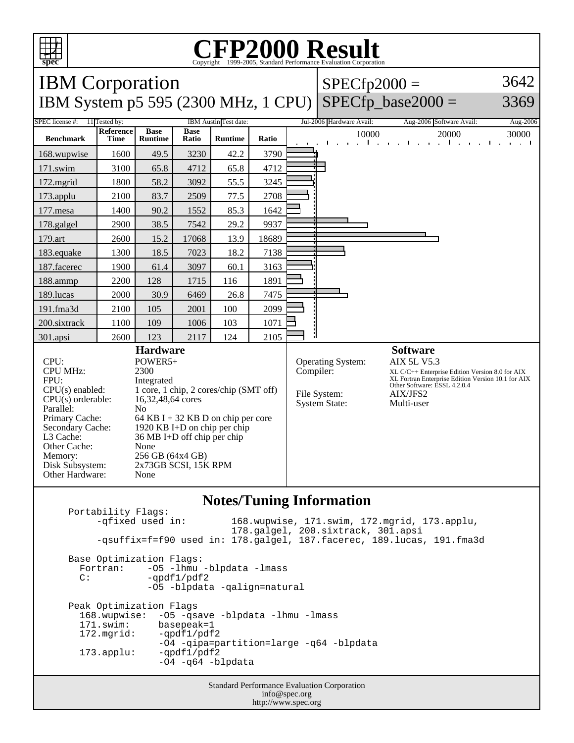

## **CFP2000 Result** Copyright 1999-2005, Standard Performance Evaluation Corporation

IBM Corporation IBM System p5 595 (2300 MHz, 1 CPU)  $SPECfp2000 =$ SPECfp base2000  $=$ 3642 3369 SPEC license #: 11 Tested by: IBM Austin Test date: Jul-2006 Hardware Avail: Aug-2006 Software Avail: Aug-2006 **Benchmark Reference Time Base Runtime Base Ratio Runtime Ratio** 10000 20000 30000 168.wupwise 1600 49.5 3230 42.2 3790 171.swim | 3100 | 65.8 | 4712 | 65.8 | 4712 172.mgrid | 1800 | 58.2 | 3092 | 55.5 | 3245 173.applu | 2100 | 83.7 | 2509 | 77.5 | 2708 177.mesa | 1400 | 90.2 | 1552 | 85.3 | 1642 178.galgel 2900 38.5 7542 29.2 9937 179.art 2600 15.2 17068 13.9 18689 183.equake 1300 18.5 7023 18.2 7138 187.facerec | 1900 61.4 3097 60.1 3163 188.ammp | 2200 | 128 | 1715 | 116 | 1891 189.lucas | 2000 | 30.9 | 6469 | 26.8 | 7475 191.fma3d | 2100 | 105 | 2001 | 100 | 2099 200.sixtrack 1100 109 1006 103 1071 301.apsi 2600 123 2117 124 2105 **Hardware** CPU: POWER5+<br>CPU MHz: 2300 CPU MHz: FPU: Integrated CPU(s) enabled: 1 core, 1 chip, 2 cores/chip (SMT off)<br>CPU(s) orderable: 16,32,48,64 cores  $CPU(s)$  orderable: Parallel: No Primary Cache: 64 KB I + 32 KB D on chip per core Secondary Cache: 1920 KB I+D on chip per chip L3 Cache: 36 MB I+D off chip per chip Other Cache: None Memory: 256 GB (64x4 GB) Disk Subsystem: 2x73GB SCSI, 15K RPM Other Hardware: None **Software** Operating System: AIX 5L V5.3 Compiler: XL C/C++ Enterprise Edition Version 8.0 for AIX XL Fortran Enterprise Edition Version 10.1 for AIX Other Software: ESSL 4.2.0.4 File System: AIX/JFS2<br>System State: Multi-user System State:

## **Notes/Tuning Information**

Portability Flags:<br>-qfixed used in: 168.wupwise, 171.swim, 172.mgrid, 173.applu, 178.galgel, 200.sixtrack, 301.apsi -qsuffix=f=f90 used in: 178.galgel, 187.facerec, 189.lucas, 191.fma3d Base Optimization Flags: Fortran: -05 -lhmu -blpdata -lmass<br>C: -ordf1/pdf2 -qpdf1/pdf2 -O5 -blpdata -qalign=natural Peak Optimization Flags 168.wupwise: -O5 -qsave -blpdata -lhmu -lmass 171.swim: basepeak=1<br>172.mqrid: -qpdf1/pdf  $-$ qpdf $1$ /pdf $2$  -O4 -qipa=partition=large -q64 -blpdata 173.applu: -qpdf1/pdf2 -O4 -q64 -blpdata

Standard Performance Evaluation Corporation info@spec.org http://www.spec.org